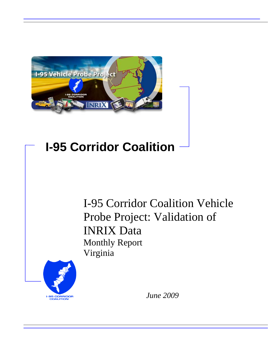

# **I-95 Corridor Coalition**

I-95 Corridor Coalition Vehicle Probe Project: Validation of INRIX Data Monthly Report Virginia



*June 2009*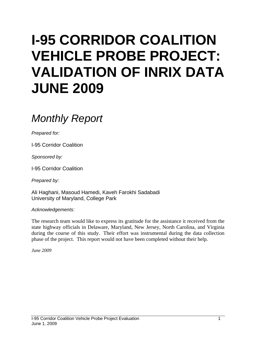# **I-95 CORRIDOR COALITION VEHICLE PROBE PROJECT: VALIDATION OF INRIX DATA JUNE 2009**

# *Monthly Report*

*Prepared for:* 

I-95 Corridor Coalition

*Sponsored by:* 

I-95 Corridor Coalition

*Prepared by:* 

Ali Haghani, Masoud Hamedi, Kaveh Farokhi Sadabadi University of Maryland, College Park

*Acknowledgements:* 

The research team would like to express its gratitude for the assistance it received from the state highway officials in Delaware, Maryland, New Jersey, North Carolina, and Virginia during the course of this study. Their effort was instrumental during the data collection phase of the project. This report would not have been completed without their help.

*June 2009*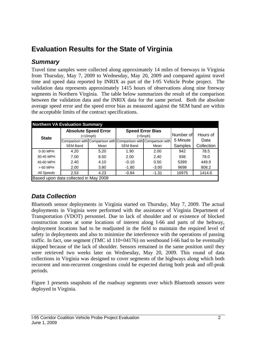## **Evaluation Results for the State of Virginia**

#### *Summary*

Travel time samples were collected along approximately 14 miles of freeways in Virginia from Thursday, May 7, 2009 to Wednesday, May 20, 2009 and compared against travel time and speed data reported by INRIX as part of the I-95 Vehicle Probe project. The validation data represents approximately 1415 hours of observations along nine freeway segments in Northern Virginia. The table below summarizes the result of the comparison between the validation data and the INRIX data for the same period. Both the absolute average speed error and the speed error bias as measured against the SEM band are within the acceptable limits of the contract specifications.

| <b>Northern VA Evaluation Summary</b> |                                                                 |                                         |                 |                                    |           |            |  |  |  |  |
|---------------------------------------|-----------------------------------------------------------------|-----------------------------------------|-----------------|------------------------------------|-----------|------------|--|--|--|--|
| <b>State</b>                          |                                                                 | <b>Absolute Speed Error</b><br>(<10mph) |                 | <b>Speed Error Bias</b><br>(<5mph) | Number of | Hours of   |  |  |  |  |
|                                       | Comparison with Comparison with Comparison with Comparison with |                                         |                 | 5 Minute                           | Data      |            |  |  |  |  |
|                                       | <b>SEM Band</b>                                                 | Mean                                    | <b>SEM Band</b> | Mean                               | Samples   | Collection |  |  |  |  |
| 0-30 MPH                              | 4.20                                                            | 5.20                                    | 1.90            | 2.00                               | 942       | 78.5       |  |  |  |  |
| 30-45 MPH                             | 7.00                                                            | 8.50                                    | 2.00            | 2.40                               | 936       | 78.0       |  |  |  |  |
| 45-60 MPH                             | 2.40                                                            | 4.10                                    | $-0.10$         | 0.50                               | 5399      | 449.9      |  |  |  |  |
| $>60$ MPH                             | 2.00                                                            | 3.80                                    | $-1.80$         | $-3.00$                            | 9698      | 808.2      |  |  |  |  |
| All Speeds                            | 2.53                                                            | 4.23                                    | $-0.84$         | $-1.31$                            | 16975     | 1414.6     |  |  |  |  |
|                                       | Based upon data collected in May 2009                           |                                         |                 |                                    |           |            |  |  |  |  |

### *Data Collection*

Bluetooth sensor deployments in Virginia started on Thursday, May 7, 2009. The actual deployments in Virginia were performed with the assistance of Virginia Department of Transportation (VDOT) personnel. Due to lack of shoulder and or existence of blocked construction zones at some locations of interest along I-66 and parts of the beltway, deployment locations had to be readjusted in the field to maintain the required level of safety in deployments and also to minimize the interference with the operations of passing traffic. In fact, one segment (TMC id 110+04176) on westbound I-66 had to be eventually skipped because of the lack of shoulder. Sensors remained in the same position until they were retrieved two weeks later on Wednesday, May 20, 2009. This round of data collections in Virginia was designed to cover segments of the highways along which both recurrent and non-recurrent congestions could be expected during both peak and off-peak periods.

Figure 1 presents snapshots of the roadway segments over which Bluetooth sensors were deployed in Virginia.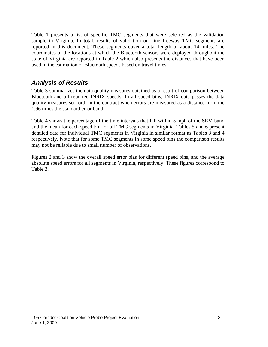Table 1 presents a list of specific TMC segments that were selected as the validation sample in Virginia. In total, results of validation on nine freeway TMC segments are reported in this document. These segments cover a total length of about 14 miles. The coordinates of the locations at which the Bluetooth sensors were deployed throughout the state of Virginia are reported in Table 2 which also presents the distances that have been used in the estimation of Bluetooth speeds based on travel times.

### *Analysis of Results*

Table 3 summarizes the data quality measures obtained as a result of comparison between Bluetooth and all reported INRIX speeds. In all speed bins, INRIX data passes the data quality measures set forth in the contract when errors are measured as a distance from the 1.96 times the standard error band.

Table 4 shows the percentage of the time intervals that fall within 5 mph of the SEM band and the mean for each speed bin for all TMC segments in Virginia. Tables 5 and 6 present detailed data for individual TMC segments in Virginia in similar format as Tables 3 and 4 respectively. Note that for some TMC segments in some speed bins the comparison results may not be reliable due to small number of observations.

Figures 2 and 3 show the overall speed error bias for different speed bins, and the average absolute speed errors for all segments in Virginia, respectively. These figures correspond to Table 3.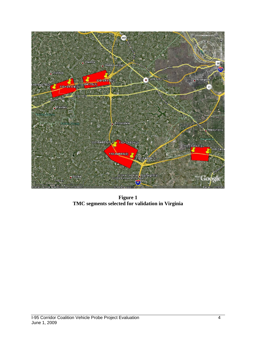

**Figure 1 TMC segments selected for validation in Virginia**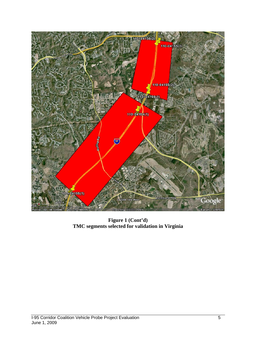

**Figure 1 (Cont'd) TMC segments selected for validation in Virginia**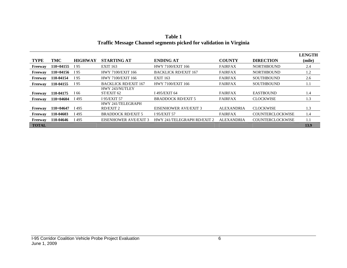|                |             |                |                              |                              |                   |                         | <b>LENGTH</b> |
|----------------|-------------|----------------|------------------------------|------------------------------|-------------------|-------------------------|---------------|
| <b>TYPE</b>    | TMC         | <b>HIGHWAY</b> | <b>STARTING AT</b>           | <b>ENDING AT</b>             | <b>COUNTY</b>     | <b>DIRECTION</b>        | (mile)        |
| Freeway        | $110+04155$ | I 95           | <b>EXIT 163</b>              | <b>HWY 7100/EXIT 166</b>     | <b>FAIRFAX</b>    | <b>NORTHBOUND</b>       | 2.4           |
| Freeway        | $110+04156$ | I 95           | <b>HWY 7100/EXIT 166</b>     | <b>BACKLICK RD/EXIT 167</b>  | <b>FAIRFAX</b>    | <b>NORTHBOUND</b>       | 1.2           |
| <b>Freeway</b> | 110-04154   | I 95           | <b>HWY 7100/EXIT 166</b>     | <b>EXIT 163</b>              | <b>FAIRFAX</b>    | <b>SOUTHBOUND</b>       | 2.6           |
| Freeway        | 110-04155   | I 95           | <b>BACKLICK RD/EXIT 167</b>  | <b>HWY 7100/EXIT 166</b>     | <b>FAIRFAX</b>    | <b>SOUTHBOUND</b>       | 1.1           |
|                |             |                | HWY 243/NUTLEY               |                              |                   |                         |               |
| Freeway        | 110-04175   | I 66           | ST/EXIT 62                   | I 495/EXIT 64                | <b>FAIRFAX</b>    | <b>EASTBOUND</b>        | 1.4           |
| Freeway        | $110+04604$ | I 495          | I 95/EXIT 57                 | <b>BRADDOCK RD/EXIT 5</b>    | <b>FAIRFAX</b>    | <b>CLOCKWISE</b>        | 1.3           |
|                |             |                | HWY 241/TELEGRAPH            |                              |                   |                         |               |
| Freeway        | $110+04647$ | I 495          | RD/EXIT 2                    | <b>EISENHOWER AVE/EXIT 3</b> | <b>ALEXANDRIA</b> | <b>CLOCKWISE</b>        | 1.3           |
| Freeway        | 110-04603   | I 495          | <b>BRADDOCK RD/EXIT 5</b>    | I 95/EXIT 57                 | <b>FAIRFAX</b>    | <b>COUNTERCLOCKWISE</b> | 1.4           |
| Freeway        | 110-04646   | I 495          | <b>EISENHOWER AVE/EXIT 3</b> | HWY 241/TELEGRAPH RD/EXIT 2  | <b>ALEXANDRIA</b> | <b>COUNTERCLOCKWISE</b> | 1.1           |
| <b>TOTAL</b>   |             |                |                              |                              |                   |                         | 13.9          |

**Table 1 Traffic Message Channel segments picked for validation in Virginia**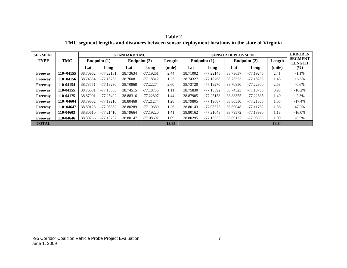| <b>Table 2</b>                                                                                 |
|------------------------------------------------------------------------------------------------|
| TMC segment lengths and distances between sensor deployment locations in the state of Virginia |

| <b>SEGMENT</b> |             |          | <b>STANDARD TMC</b> |              |             |        |          | <b>SENSOR DEPLOYMENT</b> |          |              |        |                                 |
|----------------|-------------|----------|---------------------|--------------|-------------|--------|----------|--------------------------|----------|--------------|--------|---------------------------------|
| <b>TYPE</b>    | TMC         |          | Endpoint $(1)$      | Endpoint (2) |             | Length |          | Endpoint $(1)$           |          | Endpoint (2) | Length | <b>SEGMENT</b><br><b>LENGTH</b> |
|                |             | Lat      | Long                | Lat          | Long        | (mile) | Lat      | Long                     | Lat      | Long         | (mile) | $(\%)$                          |
| Freeway        | $110+04155$ | 38.70962 | $-77.22181$         | 38.73634     | $-77.19261$ | 2.44   | 38.71002 | $-77.22145$              | 38.73637 | -77.19245    | 2.41   | $-1.1\%$                        |
| Freeway        | $110+04156$ | 38.74354 | $-77.18765$         | 38.76081     | $-77.18312$ | 1.23   | 38.74327 | $-77.18768$              | 38.76353 | -77.18285    | 1.43   | 16.5%                           |
| Freeway        | 110-04154   | 38.73751 | $-77.19230$         | 38.70868     | $-77.22274$ | 2.60   | 38.73720 | $-77.19270$              | 38.70850 | $-77.22300$  | 2.58   | $-0.6\%$                        |
| Freeway        | 110-04155   | 38.76081 | $-77.18365$         | 38.74515     | $-77.18735$ | 1.11   | 38.75830 | $-77.18392$              | 38.74523 | -77.18755    | 0.93   | $-16.2%$                        |
| Freeway        | 110-04175   | 38.87901 | $-77.25402$         | 38.88316     | $-77.22807$ | 1.44   | 38.87905 | $-77.25158$              | 38.88355 | $-77.22635$  | 1.40   | $-2.3%$                         |
| Freeway        | $110+04604$ | 38.79682 | $-77.19216$         | 38.80468     | $-77.21274$ | 1.28   | 38.79805 | $-77.19687$              | 38.80530 | $-77.21305$  | 1.05   | $-17.4%$                        |
| Freeway        | $110+04647$ | 38.80128 | $-77.08362$         | 38.80289     | $-77.10689$ | 1.26   | 38.80143 | $-77.08375$              | 38.80048 | $-77.11762$  | 1.86   | 47.0%                           |
| Freeway        | 110-04603   | 38.80610 | $-77.21410$         | 38.79664     | $-77.19220$ | 1.41   | 38.80162 | $-77.21048$              | 38.79572 | -77.18990    | 1.18   | $-16.0\%$                       |
| Freeway        | 110-04646   | 38.80266 | $-77.10707$         | 38.80147     | -77.08692   | 1.09   | 38.80295 | $-77.10355$              | 38.80127 | $-77.08565$  | 1.00   | $-8.5\%$                        |
| <b>TOTAL</b>   |             |          |                     |              |             | 13.85  |          |                          |          |              | 13.84  |                                 |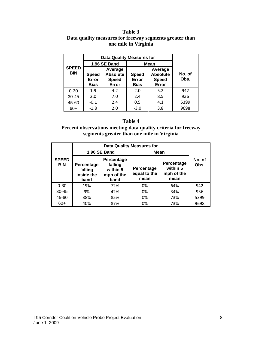#### **Table 3 Data quality measures for freeway segments greater than one mile in Virginia**

|                            | <b>Data Quality Measures for</b>                                                            |              |                                      |                                                     |                |  |
|----------------------------|---------------------------------------------------------------------------------------------|--------------|--------------------------------------|-----------------------------------------------------|----------------|--|
|                            |                                                                                             | 1.96 SE Band | <b>Mean</b>                          |                                                     |                |  |
| <b>SPEED</b><br><b>BIN</b> | Average<br><b>Absolute</b><br><b>Speed</b><br><b>Speed</b><br>Error<br><b>Bias</b><br>Error |              | <b>Speed</b><br>Error<br><b>Bias</b> | Average<br><b>Absolute</b><br><b>Speed</b><br>Error | No. of<br>Obs. |  |
| $0 - 30$                   | 1.9                                                                                         | 4.2          | 2.0                                  | 5.2                                                 | 942            |  |
| $30 - 45$                  | 2.0                                                                                         | 7.0          | 2.4                                  | 8.5                                                 | 936            |  |
| 45-60                      | $-0.1$                                                                                      | 2.4          | 0.5                                  | 4.1                                                 | 5399           |  |
| $60+$                      | $-1.8$                                                                                      | 2.0          | $-3.0$                               | 3.8                                                 | 9698           |  |

#### **Table 4**

**Percent observations meeting data quality criteria for freeway segments greater than one mile in Virginia** 

|                            |                                                                                                        | 1.96 SE Band | Mean                               |                                              |                |  |
|----------------------------|--------------------------------------------------------------------------------------------------------|--------------|------------------------------------|----------------------------------------------|----------------|--|
| <b>SPEED</b><br><b>BIN</b> | Percentage<br>falling<br>Percentage<br>within 5<br>falling<br>inside the<br>mph of the<br>band<br>band |              | Percentage<br>equal to the<br>mean | Percentage<br>within 5<br>mph of the<br>mean | No. of<br>Obs. |  |
| $0 - 30$                   | 19%                                                                                                    | 72%          | 0%                                 | 64%                                          | 942            |  |
| $30 - 45$                  | 9%                                                                                                     | 42%          | 0%                                 | 34%                                          | 936            |  |
| 45-60                      | 38%                                                                                                    | 85%          | 0%                                 | 73%                                          | 5399           |  |
| $60+$                      | 40%                                                                                                    | 87%          | 0%                                 | 73%                                          | 9698           |  |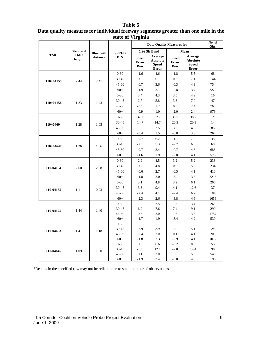#### **Table 5**

| Data quality measures for individual freeway segments greater than one mile in the |  |
|------------------------------------------------------------------------------------|--|
| state of Virginia                                                                  |  |

|             |                      | <b>Bluetooth</b> |                    | <b>Data Quality Measures for</b>            | No. of<br>Obs.                                             |                                             |                                                     |             |
|-------------|----------------------|------------------|--------------------|---------------------------------------------|------------------------------------------------------------|---------------------------------------------|-----------------------------------------------------|-------------|
|             | <b>Standard</b>      |                  | <b>SPEED</b>       |                                             | 1.96 SE Band                                               |                                             | Mean                                                |             |
| <b>TMC</b>  | <b>TMC</b><br>length | distance         | <b>BIN</b>         | <b>Speed</b><br><b>Error</b><br><b>Bias</b> | Average<br><b>Absolute</b><br><b>Speed</b><br><b>Error</b> | <b>Speed</b><br><b>Error</b><br><b>Bias</b> | Average<br><b>Absolute</b><br><b>Speed</b><br>Error |             |
|             |                      |                  | $0 - 30$           | $-1.6$                                      | 4.6                                                        | $-1.8$                                      | 5.5                                                 | 68          |
| $110+04155$ | 2.44                 | 2.41             | 30-45              | 0.3                                         | 6.1                                                        | 0.5                                         | 7.1                                                 | 144         |
|             |                      |                  | $45 - 60$          | $-0.7$                                      | 3.6                                                        | $-0.3$                                      | 4.9                                                 | 754         |
|             |                      |                  | $60+$              | $-1.9$                                      | 2.1                                                        | $-2.8$                                      | 3.7                                                 | 2272        |
|             |                      |                  | $0 - 30$           | 3.4                                         | 4.3                                                        | 3.5                                         | 4.9                                                 | 16          |
| $110+04156$ | 1.23                 | 1.43             | 30-45              | 2.7                                         | 5.8                                                        | 3.3                                         | 7.0                                                 | 47          |
|             |                      |                  | $45 - 60$          | $-0.1$                                      | 1.2                                                        | 0.3                                         | 2.4                                                 | 768         |
|             |                      |                  | $60+$              | $-0.9$                                      | 1.0                                                        | $-2.0$                                      | 2.4                                                 | 979         |
|             |                      |                  | $0 - 30$           | 32.7                                        | 32.7                                                       | 38.7                                        | 38.7                                                | $1*$        |
| 110+04604   | 1.28                 | 1.05             | 30-45              | 14.7                                        | 14.7                                                       | 20.3                                        | 20.3                                                | 14          |
|             |                      |                  | 45-60              | 1.8                                         | 2.5                                                        | 3.2                                         | 4.9                                                 | 85          |
|             |                      |                  | $60+$              | $-0.4$                                      | 1.5                                                        | $-0.8$                                      | 3.3                                                 | 264         |
| $110+04647$ |                      | 1.86             | $0 - 30$           | $-0.7$                                      | 6.2                                                        | $-1.1$                                      | 7.3                                                 | 35          |
|             | 1.26                 |                  | 30-45              | $-2.1$                                      | 5.3                                                        | $-2.7$                                      | 6.9                                                 | 69          |
|             |                      |                  | 45-60              | $-0.7$                                      | 2.4                                                        | $-0.7$                                      | 4.3                                                 | 688         |
|             |                      |                  | $60+$              | $-1.6$                                      | 1.9                                                        | $-2.8$                                      | 4.1                                                 | 576         |
|             | 2.60                 |                  | $0 - 30$           | 2.9                                         | 4.5                                                        | 3.2                                         | 5.2                                                 | 238         |
| 110-04154   |                      | 2.58             | 30-45              | 0.7                                         | 4.8                                                        | 0.9                                         | 5.8                                                 | 234         |
|             |                      |                  | $45 - 60$          | $-0.6$                                      | 2.7                                                        | $-0.5$                                      | 4.1                                                 | 410         |
|             |                      |                  | $60+$              | $-1.8$                                      | 2.0                                                        | $-3.1$                                      | 3.8                                                 | 2213        |
|             | 1.11                 |                  | $0 - 30$           | 3.1                                         | 4.8                                                        | 3.2                                         | 6.1                                                 | 266         |
| 110-04155   |                      | 0.93             | 30-45              | 3.3                                         | 9.4                                                        | 4.1                                         | 12.6                                                | 37          |
|             |                      |                  | $45 - 60$          | $-2.4$                                      | 4.1                                                        | $-2.4$                                      | 6.2                                                 | 184         |
|             |                      |                  | $60+$              | $-2.3$                                      | 2.6                                                        | $-3.8$                                      | 4.6                                                 | 1656        |
|             |                      |                  | $0 - 30$           | 1.2                                         | 2.5                                                        | 1.3                                         | 3.4                                                 | 265         |
| 110-04175   | 1.44                 | 1.40             | 30-45              | 6.2                                         | 7.6                                                        | 7.4                                         | 9.1                                                 | 299         |
|             |                      |                  | $45 - 60$          | 0.6                                         | 2.0                                                        | 1.6                                         | 3.8                                                 | 1757        |
|             |                      |                  | $60+$              | $-1.7$                                      | 1.9                                                        | $-3.4$                                      | 4.2                                                 | 530         |
|             |                      |                  | $0 - 30$           |                                             |                                                            |                                             |                                                     |             |
| 110-04603   | 1.41                 | 1.18             | 30-45              | $-3.9$                                      | 3.9                                                        | $-5.1$                                      | 5.1                                                 | $2*$        |
|             |                      |                  | $45 - 60$<br>$60+$ | $-0.4$<br>$-1.8$                            | 2.0<br>2.3                                                 | 0.1<br>$-2.9$                               | 4.1<br>4.1                                          | 205<br>1012 |
|             |                      |                  | $0 - 30$           | 0.0                                         | 6.6                                                        | $-0.2$                                      | 8.0                                                 | 53          |
|             |                      |                  | 30-45              | $-6.1$                                      | 12.1                                                       | $-7.0$                                      | 14.4                                                | 90          |
| 110-04646   | 1.09                 | 1.00             | 45-60              | 0.1                                         | 3.0                                                        | 1.0                                         | 5.3                                                 | 548         |
|             |                      |                  | $60+$              | $-1.9$                                      | 2.4                                                        | $-3.0$                                      | 4.8                                                 | 196         |

\*Results in the specified row may not be reliable due to small number of observations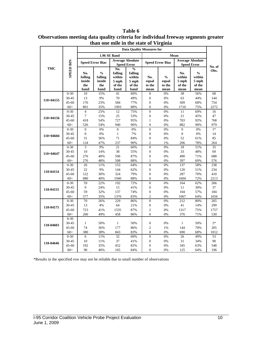|             |                  | one mne in the state of y if ginta<br><b>Data Quality Measures for</b> |                                                                        |                                                       |                                                               |                                    |                                                               |                                          |                                                    |           |
|-------------|------------------|------------------------------------------------------------------------|------------------------------------------------------------------------|-------------------------------------------------------|---------------------------------------------------------------|------------------------------------|---------------------------------------------------------------|------------------------------------------|----------------------------------------------------|-----------|
|             |                  |                                                                        |                                                                        | 1.96 SE Band                                          |                                                               |                                    |                                                               |                                          |                                                    |           |
|             |                  |                                                                        | <b>Speed Error Bias</b>                                                |                                                       | <b>Average Absolute</b>                                       |                                    | <b>Speed Error Bias</b>                                       | <b>Average Absolute</b>                  |                                                    |           |
|             |                  |                                                                        |                                                                        |                                                       | <b>Speed Error</b>                                            |                                    |                                                               |                                          | <b>Speed Error</b>                                 | No. of    |
| TMC         | <b>SPEED BIN</b> | No.<br>falling<br>inside<br>the<br>band                                | $\mathbf{0}_{\mathbf{0}}^{\prime}$<br>falling<br>inside<br>the<br>band | No.<br>falling<br>within<br>$5$ mph<br>of the<br>band | $\frac{0}{0}$<br>falling<br>within<br>5 mph<br>of the<br>band | No.<br>equal<br>to the<br>mean     | $\mathbf{0}_{\mathbf{0}}^{\prime}$<br>equal<br>to the<br>mean | No.<br>within<br>5 mph<br>of the<br>mean | $\frac{0}{0}$<br>within<br>5 mph<br>of the<br>mean | Obs.      |
|             | $0 - 30$         | 10                                                                     | 15%                                                                    | 41                                                    | 60%                                                           | $\boldsymbol{0}$                   | 0%                                                            | 38                                       | 56%                                                | 68        |
| $110+04155$ | 30-45            | 13                                                                     | 9%                                                                     | 70                                                    | 49%                                                           | $\boldsymbol{0}$                   | 0%                                                            | 63                                       | 44%                                                | 144       |
|             | $45 - 60$        | 176                                                                    | 23%                                                                    | 584                                                   | 77%                                                           | $\overline{0}$                     | 0%                                                            | 509                                      | 68%                                                | 754       |
|             | $60+$            | 801                                                                    | 35%                                                                    | 1993                                                  | 88%                                                           | $\overline{0}$                     | 0%                                                            | 1710                                     | 75%                                                | 2272      |
|             | $0 - 30$         | $\overline{4}$                                                         | 25%                                                                    | 12                                                    | 75%                                                           | $\boldsymbol{0}$                   | 0%                                                            | 11                                       | 69%                                                | 16        |
| $110+04156$ | 30-45            | $\boldsymbol{7}$                                                       | 15%                                                                    | 25                                                    | 53%                                                           | $\boldsymbol{0}$                   | 0%                                                            | 21                                       | 45%                                                | 47        |
|             | $45 - 60$        | 418                                                                    | 54%                                                                    | 727                                                   | 95%                                                           | $\mathbf{1}$                       | 0%                                                            | 703                                      | 92%                                                | 768       |
|             | $60+$            | 526                                                                    | 54%                                                                    | 940                                                   | 96%                                                           | $\overline{0}$                     | 0%                                                            | 882                                      | 90%                                                | 979       |
|             | $0 - 30$         | $\boldsymbol{0}$                                                       | 0%                                                                     | $\boldsymbol{0}$                                      | 0%                                                            | $\boldsymbol{0}$                   | 0%                                                            | $\overline{0}$                           | 0%                                                 | $1*$      |
| 110+04604   | 30-45            | $\boldsymbol{0}$                                                       | 0%                                                                     | $\mathbf{1}$                                          | 7%                                                            | $\boldsymbol{0}$                   | 0%                                                            | $\boldsymbol{0}$                         | $0\%$                                              | 14        |
|             | 45-60            | 31                                                                     | 36%                                                                    | 71                                                    | 84%                                                           | $\boldsymbol{0}$<br>$\overline{c}$ | 0%                                                            | 52                                       | 61%                                                | 85        |
|             | $60+$            | 124<br>3                                                               | 47%<br>9%                                                              | 237<br>21                                             | 90%                                                           | $\overline{0}$                     | 1%<br>0%                                                      | 206<br>18                                | 78%                                                | 264<br>35 |
|             | $0 - 30$         | 10                                                                     |                                                                        | 38                                                    | 60%                                                           | $\overline{0}$                     |                                                               | 33                                       | 51%                                                | 69        |
| 110+04647   | 30-45<br>45-60   | 276                                                                    | 14%<br>40%                                                             | 596                                                   | 55%<br>87%                                                    | $\boldsymbol{0}$                   | 0%<br>0%                                                      | 490                                      | 48%<br>71%                                         | 688       |
|             | $60+$            | 276                                                                    | 48%                                                                    | 508                                                   | 88%                                                           | $\mathbf{1}$                       | 0%                                                            | 397                                      | 69%                                                | 576       |
|             | $0 - 30$         | 26                                                                     | 11%                                                                    | 153                                                   | 64%                                                           | $\boldsymbol{0}$                   | 0%                                                            | 137                                      | 58%                                                | 238       |
|             | 30-45            | 22                                                                     | 9%                                                                     | 144                                                   | 62%                                                           | $\boldsymbol{0}$                   | $0\%$                                                         | 120                                      | 51%                                                | 234       |
| 110-04154   | $45 - 60$        | 122                                                                    | 30%                                                                    | 324                                                   | 79%                                                           | $\boldsymbol{0}$                   | 0%                                                            | 287                                      | 70%                                                | 410       |
|             | $60+$            | 880                                                                    | 40%                                                                    | 1940                                                  | 88%                                                           | $\overline{0}$                     | 0%                                                            | 1604                                     | 72%                                                | 2213      |
|             | $0 - 30$         | 59                                                                     | 22%                                                                    | 192                                                   | 72%                                                           | $\overline{0}$                     | 0%                                                            | 164                                      | 62%                                                | 266       |
|             | 30-45            | 9                                                                      | 24%                                                                    | 15                                                    | 41%                                                           | $\boldsymbol{0}$                   | 0%                                                            | 11                                       | 30%                                                | 37        |
| 110-04155   | 45-60            | 59                                                                     | 32%                                                                    | 137                                                   | 74%                                                           | $\boldsymbol{0}$                   | 0%                                                            | 104                                      | 57%                                                | 184       |
|             | $60+$            | 577                                                                    | 35%                                                                    | 1376                                                  | 83%                                                           | $\overline{c}$                     | 0%                                                            | 1067                                     | 64%                                                | 1656      |
|             | $0 - 30$         | $70\,$                                                                 | 26%                                                                    | 229                                                   | 86%                                                           | $\boldsymbol{0}$                   | $0\%$                                                         | 212                                      | 80%                                                | 265       |
|             | 30-45            | 13                                                                     | 4%                                                                     | 64                                                    | 21%                                                           | $\boldsymbol{0}$                   | 0%                                                            | 41                                       | 14%                                                | 299       |
| 110-04175   | $45 - 60$        | 723                                                                    | 41%                                                                    | 1535                                                  | 87%                                                           | $\mathfrak{2}$                     | 0%                                                            | 1317                                     | 75%                                                | 1757      |
|             | $60+$            | 260                                                                    | 49%                                                                    | 458                                                   | 86%                                                           | $\theta$                           | 0%                                                            | 376                                      | 71%                                                | 530       |
|             | $0 - 30$         |                                                                        |                                                                        |                                                       |                                                               |                                    |                                                               |                                          |                                                    |           |
| 110-04603   | 30-45            | $\mathbf{1}$                                                           | 50%                                                                    | $\mathbf{1}$                                          | 50%                                                           | $\boldsymbol{0}$                   | 0%                                                            | $\mathbf{1}$                             | 50%                                                | $2*$      |
|             | 45-60            | 74                                                                     | 36%                                                                    | 177                                                   | 86%                                                           | $\overline{c}$                     | 1%                                                            | 144                                      | 70%                                                | 205       |
|             | $60+$            | 380                                                                    | 38%                                                                    | 843                                                   | 83%                                                           | $\mathbf{0}$                       | 0%                                                            | 690                                      | 68%                                                | 1012      |
|             | $0 - 30$         | 6                                                                      | 11%                                                                    | $\overline{32}$                                       | 60%                                                           | $\boldsymbol{0}$                   | 0%                                                            | 26                                       | 49%                                                | 53        |
| 110-04646   | 30-45            | 10                                                                     | 11%                                                                    | 37                                                    | 41%                                                           | $\boldsymbol{0}$                   | 0%                                                            | 31                                       | 34%                                                | 90        |
|             | 45-60            | 192                                                                    | 35%                                                                    | 452                                                   | 82%                                                           | $\boldsymbol{0}$                   | 0%                                                            | 345                                      | 63%                                                | 548       |
|             | $60+$            | 90                                                                     | 46%                                                                    | 165                                                   | 84%                                                           | $\boldsymbol{0}$                   | 0%                                                            | 125                                      | 64%                                                | 196       |

**Table 6 Observations meeting data quality criteria for individual freeway segments greater than one mile in the state of Virginia** 

\*Results in the specified row may not be reliable due to small number of observations